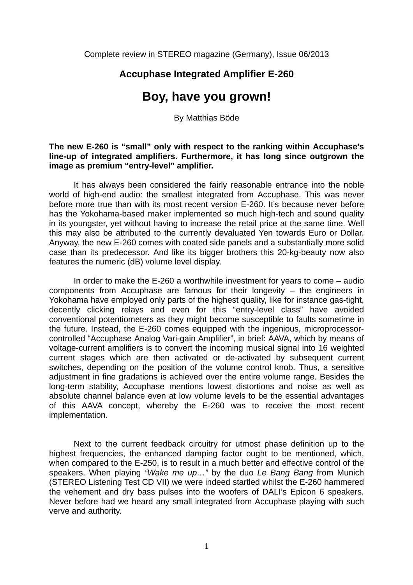Complete review in STEREO magazine (Germany), Issue 06/2013

# **Accuphase Integrated Amplifier E-260**

# **Boy, have you grown!**

By Matthias Böde

## **The new E-260 is "small" only with respect to the ranking within Accuphase's line-up of integrated amplifiers. Furthermore, it has long since outgrown the image as premium "entry-level" amplifier.**

It has always been considered the fairly reasonable entrance into the noble world of high-end audio: the smallest integrated from Accuphase. This was never before more true than with its most recent version E-260. It's because never before has the Yokohama-based maker implemented so much high-tech and sound quality in its youngster, yet without having to increase the retail price at the same time. Well this may also be attributed to the currently devaluated Yen towards Euro or Dollar. Anyway, the new E-260 comes with coated side panels and a substantially more solid case than its predecessor. And like its bigger brothers this 20-kg-beauty now also features the numeric (dB) volume level display.

In order to make the E-260 a worthwhile investment for years to come – audio components from Accuphase are famous for their longevity – the engineers in Yokohama have employed only parts of the highest quality, like for instance gas-tight, decently clicking relays and even for this "entry-level class" have avoided conventional potentiometers as they might become susceptible to faults sometime in the future. Instead, the E-260 comes equipped with the ingenious, microprocessorcontrolled "Accuphase Analog Vari-gain Amplifier", in brief: AAVA, which by means of voltage-current amplifiers is to convert the incoming musical signal into 16 weighted current stages which are then activated or de-activated by subsequent current switches, depending on the position of the volume control knob. Thus, a sensitive adjustment in fine gradations is achieved over the entire volume range. Besides the long-term stability, Accuphase mentions lowest distortions and noise as well as absolute channel balance even at low volume levels to be the essential advantages of this AAVA concept, whereby the E-260 was to receive the most recent implementation.

Next to the current feedback circuitry for utmost phase definition up to the highest frequencies, the enhanced damping factor ought to be mentioned, which, when compared to the E-250, is to result in a much better and effective control of the speakers. When playing *"Wake me up…"* by the duo *Le Bang Bang* from Munich (STEREO Listening Test CD VII) we were indeed startled whilst the E-260 hammered the vehement and dry bass pulses into the woofers of DALI's Epicon 6 speakers. Never before had we heard any small integrated from Accuphase playing with such verve and authority.